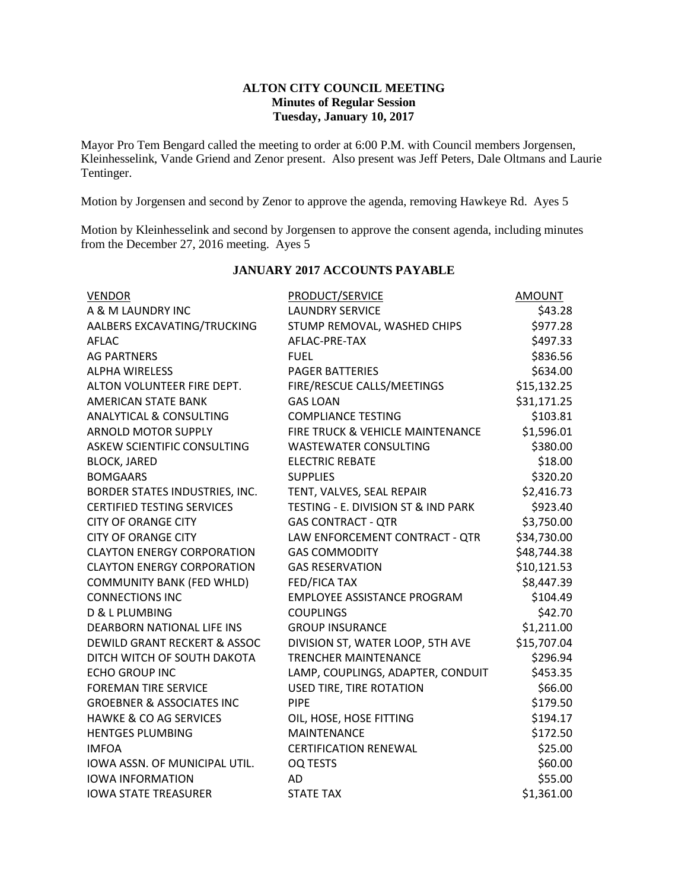### **ALTON CITY COUNCIL MEETING Minutes of Regular Session Tuesday, January 10, 2017**

Mayor Pro Tem Bengard called the meeting to order at 6:00 P.M. with Council members Jorgensen, Kleinhesselink, Vande Griend and Zenor present. Also present was Jeff Peters, Dale Oltmans and Laurie Tentinger.

Motion by Jorgensen and second by Zenor to approve the agenda, removing Hawkeye Rd. Ayes 5

Motion by Kleinhesselink and second by Jorgensen to approve the consent agenda, including minutes from the December 27, 2016 meeting. Ayes 5

| <b>VENDOR</b>                           | PRODUCT/SERVICE                     | <b>AMOUNT</b> |
|-----------------------------------------|-------------------------------------|---------------|
| A & M LAUNDRY INC                       | <b>LAUNDRY SERVICE</b>              | \$43.28       |
| AALBERS EXCAVATING/TRUCKING             | STUMP REMOVAL, WASHED CHIPS         | \$977.28      |
| <b>AFLAC</b>                            | AFLAC-PRE-TAX                       | \$497.33      |
| <b>AG PARTNERS</b>                      | <b>FUEL</b>                         |               |
| <b>ALPHA WIRELESS</b>                   | <b>PAGER BATTERIES</b>              | \$634.00      |
| ALTON VOLUNTEER FIRE DEPT.              | FIRE/RESCUE CALLS/MEETINGS          | \$15,132.25   |
| <b>AMERICAN STATE BANK</b>              | <b>GAS LOAN</b>                     | \$31,171.25   |
| <b>ANALYTICAL &amp; CONSULTING</b>      | <b>COMPLIANCE TESTING</b>           | \$103.81      |
| <b>ARNOLD MOTOR SUPPLY</b>              | FIRE TRUCK & VEHICLE MAINTENANCE    | \$1,596.01    |
| ASKEW SCIENTIFIC CONSULTING             | <b>WASTEWATER CONSULTING</b>        | \$380.00      |
| <b>BLOCK, JARED</b>                     | <b>ELECTRIC REBATE</b>              | \$18.00       |
| <b>BOMGAARS</b>                         | <b>SUPPLIES</b>                     | \$320.20      |
| BORDER STATES INDUSTRIES, INC.          | TENT, VALVES, SEAL REPAIR           | \$2,416.73    |
| <b>CERTIFIED TESTING SERVICES</b>       | TESTING - E. DIVISION ST & IND PARK | \$923.40      |
| <b>CITY OF ORANGE CITY</b>              | <b>GAS CONTRACT - QTR</b>           | \$3,750.00    |
| <b>CITY OF ORANGE CITY</b>              | LAW ENFORCEMENT CONTRACT - QTR      | \$34,730.00   |
| <b>CLAYTON ENERGY CORPORATION</b>       | <b>GAS COMMODITY</b>                | \$48,744.38   |
| <b>CLAYTON ENERGY CORPORATION</b>       | <b>GAS RESERVATION</b>              | \$10,121.53   |
| <b>COMMUNITY BANK (FED WHLD)</b>        | <b>FED/FICA TAX</b>                 | \$8,447.39    |
| <b>CONNECTIONS INC</b>                  | <b>EMPLOYEE ASSISTANCE PROGRAM</b>  | \$104.49      |
| D & L PLUMBING                          | <b>COUPLINGS</b>                    | \$42.70       |
| DEARBORN NATIONAL LIFE INS              | <b>GROUP INSURANCE</b>              | \$1,211.00    |
| <b>DEWILD GRANT RECKERT &amp; ASSOC</b> | DIVISION ST, WATER LOOP, 5TH AVE    | \$15,707.04   |
| DITCH WITCH OF SOUTH DAKOTA             | <b>TRENCHER MAINTENANCE</b>         | \$296.94      |
| <b>ECHO GROUP INC</b>                   | LAMP, COUPLINGS, ADAPTER, CONDUIT   | \$453.35      |
| <b>FOREMAN TIRE SERVICE</b>             | <b>USED TIRE, TIRE ROTATION</b>     | \$66.00       |
| <b>GROEBNER &amp; ASSOCIATES INC</b>    | <b>PIPE</b>                         | \$179.50      |
| <b>HAWKE &amp; CO AG SERVICES</b>       | OIL, HOSE, HOSE FITTING             | \$194.17      |
| <b>HENTGES PLUMBING</b>                 | <b>MAINTENANCE</b>                  | \$172.50      |
| <b>IMFOA</b>                            | <b>CERTIFICATION RENEWAL</b>        | \$25.00       |
| IOWA ASSN. OF MUNICIPAL UTIL.           | <b>OQ TESTS</b>                     | \$60.00       |
| <b>IOWA INFORMATION</b>                 | AD                                  | \$55.00       |
| <b>IOWA STATE TREASURER</b>             | <b>STATE TAX</b>                    | \$1,361.00    |

# **JANUARY 2017 ACCOUNTS PAYABLE**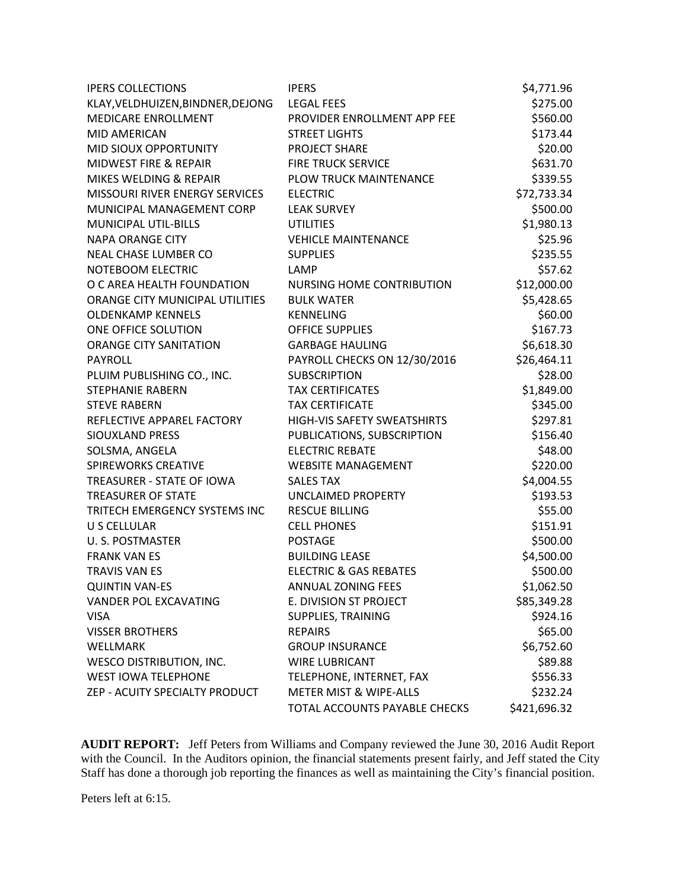| <b>IPERS COLLECTIONS</b>          | <b>IPERS</b>                      | \$4,771.96   |
|-----------------------------------|-----------------------------------|--------------|
| KLAY, VELDHUIZEN, BINDNER, DEJONG | <b>LEGAL FEES</b>                 | \$275.00     |
| MEDICARE ENROLLMENT               | PROVIDER ENROLLMENT APP FEE       | \$560.00     |
| <b>MID AMERICAN</b>               | <b>STREET LIGHTS</b>              | \$173.44     |
| MID SIOUX OPPORTUNITY             | <b>PROJECT SHARE</b>              | \$20.00      |
| MIDWEST FIRE & REPAIR             | <b>FIRE TRUCK SERVICE</b>         | \$631.70     |
| MIKES WELDING & REPAIR            | PLOW TRUCK MAINTENANCE            | \$339.55     |
| MISSOURI RIVER ENERGY SERVICES    | <b>ELECTRIC</b>                   | \$72,733.34  |
| MUNICIPAL MANAGEMENT CORP         | <b>LEAK SURVEY</b>                | \$500.00     |
| <b>MUNICIPAL UTIL-BILLS</b>       | <b>UTILITIES</b>                  | \$1,980.13   |
| <b>NAPA ORANGE CITY</b>           | <b>VEHICLE MAINTENANCE</b>        | \$25.96      |
| NEAL CHASE LUMBER CO              | <b>SUPPLIES</b>                   | \$235.55     |
| NOTEBOOM ELECTRIC                 | LAMP                              | \$57.62      |
| O C AREA HEALTH FOUNDATION        | NURSING HOME CONTRIBUTION         | \$12,000.00  |
| ORANGE CITY MUNICIPAL UTILITIES   | <b>BULK WATER</b>                 | \$5,428.65   |
| <b>OLDENKAMP KENNELS</b>          | <b>KENNELING</b>                  | \$60.00      |
| ONE OFFICE SOLUTION               | <b>OFFICE SUPPLIES</b>            | \$167.73     |
| <b>ORANGE CITY SANITATION</b>     | <b>GARBAGE HAULING</b>            | \$6,618.30   |
| PAYROLL                           | PAYROLL CHECKS ON 12/30/2016      | \$26,464.11  |
| PLUIM PUBLISHING CO., INC.        | <b>SUBSCRIPTION</b>               | \$28.00      |
| <b>STEPHANIE RABERN</b>           | <b>TAX CERTIFICATES</b>           | \$1,849.00   |
| <b>STEVE RABERN</b>               | <b>TAX CERTIFICATE</b>            | \$345.00     |
| REFLECTIVE APPAREL FACTORY        | HIGH-VIS SAFETY SWEATSHIRTS       | \$297.81     |
| SIOUXLAND PRESS                   | PUBLICATIONS, SUBSCRIPTION        | \$156.40     |
| SOLSMA, ANGELA                    | <b>ELECTRIC REBATE</b>            | \$48.00      |
| <b>SPIREWORKS CREATIVE</b>        | <b>WEBSITE MANAGEMENT</b>         | \$220.00     |
| TREASURER - STATE OF IOWA         | <b>SALES TAX</b>                  | \$4,004.55   |
| <b>TREASURER OF STATE</b>         | <b>UNCLAIMED PROPERTY</b>         | \$193.53     |
| TRITECH EMERGENCY SYSTEMS INC     | <b>RESCUE BILLING</b>             | \$55.00      |
| U S CELLULAR                      | <b>CELL PHONES</b>                | \$151.91     |
| U. S. POSTMASTER                  | <b>POSTAGE</b>                    | \$500.00     |
| <b>FRANK VAN ES</b>               | <b>BUILDING LEASE</b>             | \$4,500.00   |
| <b>TRAVIS VAN ES</b>              | <b>ELECTRIC &amp; GAS REBATES</b> | \$500.00     |
| <b>QUINTIN VAN-ES</b>             | ANNUAL ZONING FEES                | \$1,062.50   |
| VANDER POL EXCAVATING             | E. DIVISION ST PROJECT            | \$85,349.28  |
| <b>VISA</b>                       | <b>SUPPLIES, TRAINING</b>         | \$924.16     |
| <b>VISSER BROTHERS</b>            | <b>REPAIRS</b>                    | \$65.00      |
| WELLMARK                          | <b>GROUP INSURANCE</b>            | \$6,752.60   |
| <b>WESCO DISTRIBUTION, INC.</b>   | <b>WIRE LUBRICANT</b>             | \$89.88      |
| <b>WEST IOWA TELEPHONE</b>        | TELEPHONE, INTERNET, FAX          |              |
| ZEP - ACUITY SPECIALTY PRODUCT    | <b>METER MIST &amp; WIPE-ALLS</b> | \$232.24     |
|                                   | TOTAL ACCOUNTS PAYABLE CHECKS     | \$421,696.32 |

**AUDIT REPORT:** Jeff Peters from Williams and Company reviewed the June 30, 2016 Audit Report with the Council. In the Auditors opinion, the financial statements present fairly, and Jeff stated the City Staff has done a thorough job reporting the finances as well as maintaining the City's financial position.

Peters left at 6:15.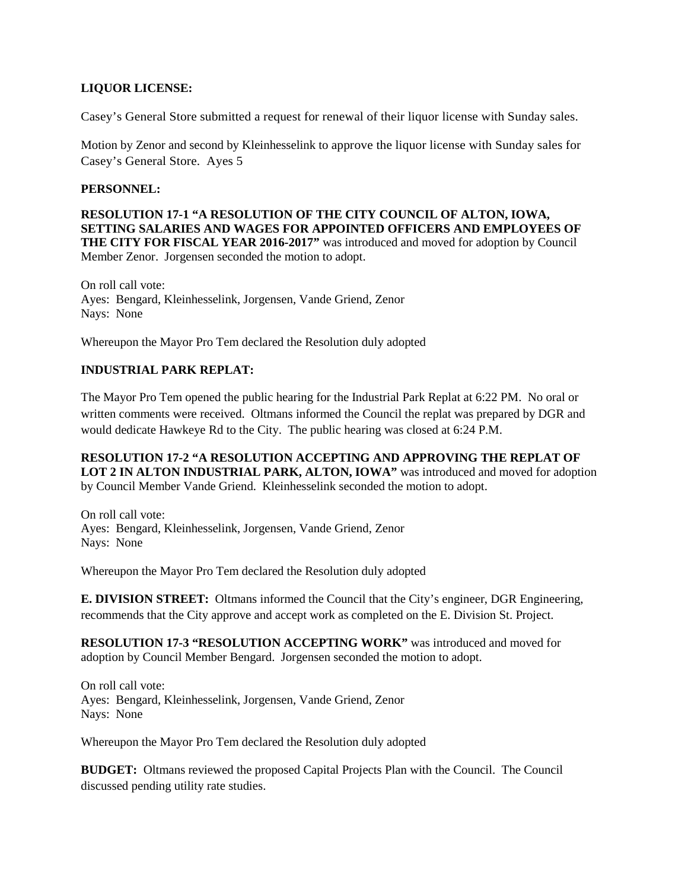## **LIQUOR LICENSE:**

Casey's General Store submitted a request for renewal of their liquor license with Sunday sales.

Motion by Zenor and second by Kleinhesselink to approve the liquor license with Sunday sales for Casey's General Store. Ayes 5

#### **PERSONNEL:**

**RESOLUTION 17-1 "A RESOLUTION OF THE CITY COUNCIL OF ALTON, IOWA, SETTING SALARIES AND WAGES FOR APPOINTED OFFICERS AND EMPLOYEES OF THE CITY FOR FISCAL YEAR 2016-2017"** was introduced and moved for adoption by Council Member Zenor. Jorgensen seconded the motion to adopt.

On roll call vote: Ayes: Bengard, Kleinhesselink, Jorgensen, Vande Griend, Zenor Nays: None

Whereupon the Mayor Pro Tem declared the Resolution duly adopted

# **INDUSTRIAL PARK REPLAT:**

The Mayor Pro Tem opened the public hearing for the Industrial Park Replat at 6:22 PM. No oral or written comments were received. Oltmans informed the Council the replat was prepared by DGR and would dedicate Hawkeye Rd to the City. The public hearing was closed at 6:24 P.M.

### **RESOLUTION 17-2 "A RESOLUTION ACCEPTING AND APPROVING THE REPLAT OF LOT 2 IN ALTON INDUSTRIAL PARK, ALTON, IOWA"** was introduced and moved for adoption by Council Member Vande Griend. Kleinhesselink seconded the motion to adopt.

On roll call vote: Ayes: Bengard, Kleinhesselink, Jorgensen, Vande Griend, Zenor Nays: None

Whereupon the Mayor Pro Tem declared the Resolution duly adopted

**E. DIVISION STREET:** Oltmans informed the Council that the City's engineer, DGR Engineering, recommends that the City approve and accept work as completed on the E. Division St. Project.

**RESOLUTION 17-3 "RESOLUTION ACCEPTING WORK"** was introduced and moved for adoption by Council Member Bengard. Jorgensen seconded the motion to adopt.

On roll call vote: Ayes: Bengard, Kleinhesselink, Jorgensen, Vande Griend, Zenor Nays: None

Whereupon the Mayor Pro Tem declared the Resolution duly adopted

**BUDGET:** Oltmans reviewed the proposed Capital Projects Plan with the Council. The Council discussed pending utility rate studies.